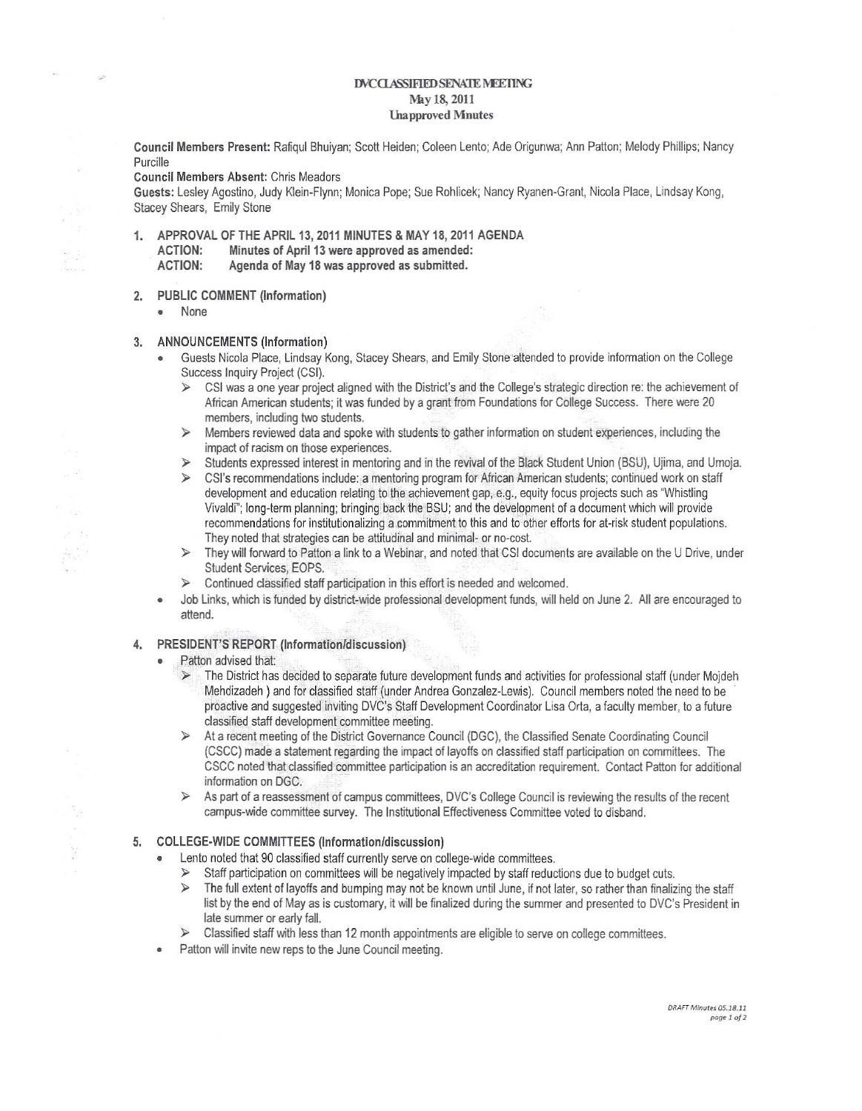## DVCCLASSIFIED SENATE MEETING May 18, 2011 **Ulapproved Mnutes**

Council Members Present: RafiqulBhuiyan; Scott Heiden; Coleen Lento; Ade Origunwa; Ann Patton; Melody Phillips; Nancy Purcille

Council Members Absent: Chris Meadors

Guests: Lesley Agostino, Judy Klein-Flynn; Monica Pope; Sue Rohlicek; Nancy Ryanen-Grant, Nicola Place, Lindsay Kong, Stacey Shears, Emily Stone

- 1. APPROVAL OF THE APRIL 13, 2011 MINUTES & MAY 18, 2011 AGENDA ACTION: Minutes of April 13 were approved as amended: ACTION: Agenda of May 18 was approved as submitted.
- 2. PUBLIC COMMENT (Information)
	- **• None**

 $\mathbb{S}\cdot\mathbb{R}$ 

A,

## 3. ANNOUNCEMENTS (Information)

- Guests Nicola Place, Lindsay Kong, Stacey Shears, and Emily Stone attended to provide information on the College Success Inquiry Project (CSI).
	- }> CSI was a one year project aligned with the District's and the College's strategic direction re: the achievement of African American students; it was funded by a grant from Foundations for College Success. There were 20 members, including two students.
	- }> Members reviewed data and spoke with students to gather information on student experiences, including the **impact of racism on those experiences.**
	- }> Students expressed interesl in mentoring and in the revival of the Black Student Union (BSU), Ujima, and Umoja.
	- }> CSI's recommendations include: a mentoring program for African American students; continued work on staff development and education relating to the achievement gap, e.g., equity focus projects such as "Whistling Vivaldi"; long-term planning; bringing back the BSU; and the development of adocument which will provide recommendations for institutionalizing a commitment to this and to other efforts for at-risk student populations. They noted that strategies can be attitudinal and minimal- or no-cost.
	- $\geq$  They will forward to Patton a link to a Webinar, and noted that CSI documents are available on the U Drive, under Student Services, EOPS.
	- $\triangleright$  Continued classified staff participation in this effort is needed and welcomed.
- Job Links, which is funded by district-wide professional development funds, will held on June 2. All are encouraged to attend.

## 4. PRESIDENT'S REPORT (Information/discussion)

- Patton advised that:
	- $>$  The District has decided to separate future development funds and activities for professional staff (under Mojdeh Mehdizadeh ) and for classified staff (under Andrea Gonzalez-Lewis). Council members noted the need to be proactive and suggested inviting DVC's Staff Development Coordinator Lisa Orta, afaculty member, to afuture classified staff development committee meeting.
	- }> At a recent meeting of the District Governance Council (DGC), the Classified Senate Coordinating Council (CSCC) made a statement regarding the impact of layoffs on classified staff participation on committees. The CSCC noted that classified committee participation is an accreditation requirement. Contact Patton for additional information on DGC.
	- }> As part 01 a reassessment 01 campus committees, DVC's College Council is reviewing the results of the recent campus-wide committee survey. The Institutional Effectiveness Committee voted to disband.

## 5. COLLEGE-WIDE COMMITTEES (Information/discussion)

- Lento noted that 90 classified staff currently serve on college-wide committees.
	- $\triangleright$  Staff participation on committees will be negatively impacted by staff reductions due to budget cuts.
	- $\geq$  The full extent of layoffs and bumping may not be known until June, if not later, so rather than finalizing the staff list by the end of Mayas is customary, it will be finalized during the summer and presented to DVC's President in late summer or earty fall.
	- }> Classified staff with less than 12 month appointments are eligible to serve on college committees.
- **• Patton will invite new reps to the June Council meeting.**